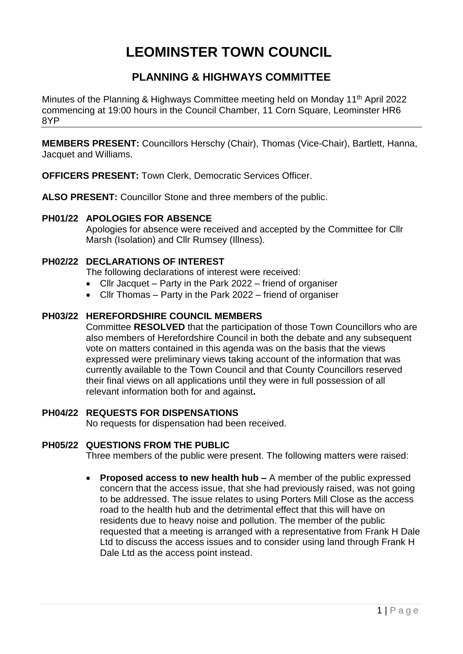## **LEOMINSTER TOWN COUNCIL**

## **PLANNING & HIGHWAYS COMMITTEE**

Minutes of the Planning & Highways Committee meeting held on Monday 11th April 2022 commencing at 19:00 hours in the Council Chamber, 11 Corn Square, Leominster HR6 8YP

**MEMBERS PRESENT:** Councillors Herschy (Chair), Thomas (Vice-Chair), Bartlett, Hanna, Jacquet and Williams.

**OFFICERS PRESENT:** Town Clerk, Democratic Services Officer.

**ALSO PRESENT:** Councillor Stone and three members of the public.

## **PH01/22 APOLOGIES FOR ABSENCE**

Apologies for absence were received and accepted by the Committee for Cllr Marsh (Isolation) and Cllr Rumsey (Illness).

## **PH02/22 DECLARATIONS OF INTEREST**

The following declarations of interest were received:

- Cllr Jacquet Party in the Park 2022 friend of organiser
- Cllr Thomas Party in the Park 2022 friend of organiser

## **PH03/22 HEREFORDSHIRE COUNCIL MEMBERS**

Committee **RESOLVED** that the participation of those Town Councillors who are also members of Herefordshire Council in both the debate and any subsequent vote on matters contained in this agenda was on the basis that the views expressed were preliminary views taking account of the information that was currently available to the Town Council and that County Councillors reserved their final views on all applications until they were in full possession of all relevant information both for and against**.**

## **PH04/22 REQUESTS FOR DISPENSATIONS**

No requests for dispensation had been received.

## **PH05/22 QUESTIONS FROM THE PUBLIC**

Three members of the public were present. The following matters were raised:

 **Proposed access to new health hub –** A member of the public expressed concern that the access issue, that she had previously raised, was not going to be addressed. The issue relates to using Porters Mill Close as the access road to the health hub and the detrimental effect that this will have on residents due to heavy noise and pollution. The member of the public requested that a meeting is arranged with a representative from Frank H Dale Ltd to discuss the access issues and to consider using land through Frank H Dale Ltd as the access point instead.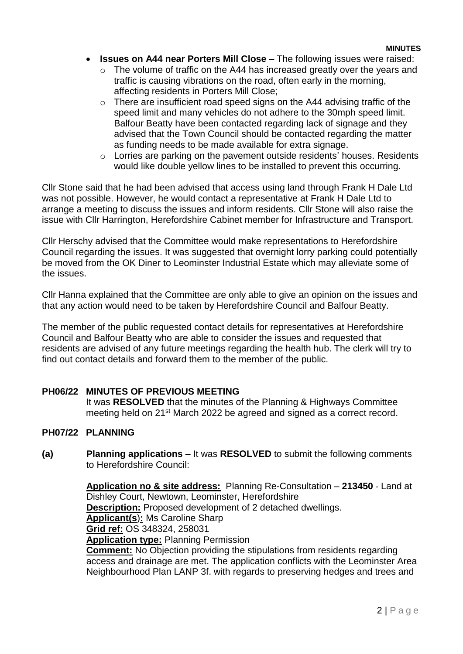#### **MINUTES**

- **Issues on A44 near Porters Mill Close** The following issues were raised:
	- o The volume of traffic on the A44 has increased greatly over the years and traffic is causing vibrations on the road, often early in the morning, affecting residents in Porters Mill Close;
	- $\circ$  There are insufficient road speed signs on the A44 advising traffic of the speed limit and many vehicles do not adhere to the 30mph speed limit. Balfour Beatty have been contacted regarding lack of signage and they advised that the Town Council should be contacted regarding the matter as funding needs to be made available for extra signage.
	- o Lorries are parking on the pavement outside residents' houses. Residents would like double yellow lines to be installed to prevent this occurring.

Cllr Stone said that he had been advised that access using land through Frank H Dale Ltd was not possible. However, he would contact a representative at Frank H Dale Ltd to arrange a meeting to discuss the issues and inform residents. Cllr Stone will also raise the issue with Cllr Harrington, Herefordshire Cabinet member for Infrastructure and Transport.

Cllr Herschy advised that the Committee would make representations to Herefordshire Council regarding the issues. It was suggested that overnight lorry parking could potentially be moved from the OK Diner to Leominster Industrial Estate which may alleviate some of the issues.

Cllr Hanna explained that the Committee are only able to give an opinion on the issues and that any action would need to be taken by Herefordshire Council and Balfour Beatty.

The member of the public requested contact details for representatives at Herefordshire Council and Balfour Beatty who are able to consider the issues and requested that residents are advised of any future meetings regarding the health hub. The clerk will try to find out contact details and forward them to the member of the public.

## **PH06/22 MINUTES OF PREVIOUS MEETING**

It was **RESOLVED** that the minutes of the Planning & Highways Committee meeting held on 21st March 2022 be agreed and signed as a correct record.

## **PH07/22 PLANNING**

**(a) Planning applications –** It was **RESOLVED** to submit the following comments to Herefordshire Council:

> **Application no & site address:** Planning Re-Consultation – **213450** - Land at Dishley Court, Newtown, Leominster, Herefordshire **Description:** Proposed development of 2 detached dwellings. **Applicant(s**)**:** Ms Caroline Sharp **Grid ref:** OS 348324, 258031 **Application type:** Planning Permission **Comment:** No Objection providing the stipulations from residents regarding access and drainage are met. The application conflicts with the Leominster Area Neighbourhood Plan LANP 3f. with regards to preserving hedges and trees and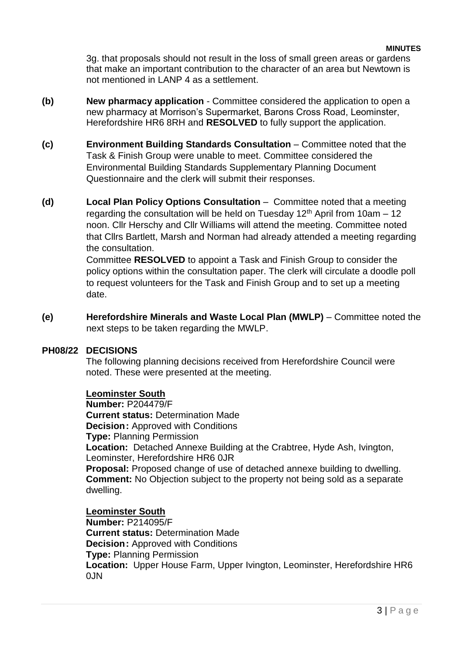#### **MINUTES**

3g. that proposals should not result in the loss of small green areas or gardens that make an important contribution to the character of an area but Newtown is not mentioned in LANP 4 as a settlement.

- **(b) New pharmacy application**  Committee considered the application to open a new pharmacy at Morrison's Supermarket, Barons Cross Road, Leominster, Herefordshire HR6 8RH and **RESOLVED** to fully support the application.
- **(c) Environment Building Standards Consultation**  Committee noted that the Task & Finish Group were unable to meet. Committee considered the Environmental Building Standards Supplementary Planning Document Questionnaire and the clerk will submit their responses.
- **(d) Local Plan Policy Options Consultation**  Committee noted that a meeting regarding the consultation will be held on Tuesday  $12<sup>th</sup>$  April from 10am – 12 noon. Cllr Herschy and Cllr Williams will attend the meeting. Committee noted that Cllrs Bartlett, Marsh and Norman had already attended a meeting regarding the consultation.

Committee **RESOLVED** to appoint a Task and Finish Group to consider the policy options within the consultation paper. The clerk will circulate a doodle poll to request volunteers for the Task and Finish Group and to set up a meeting date.

**(e) Herefordshire Minerals and Waste Local Plan (MWLP)** – Committee noted the next steps to be taken regarding the MWLP.

## **PH08/22 DECISIONS**

The following planning decisions received from Herefordshire Council were noted. These were presented at the meeting.

## **Leominster South**

**Number:** P204479/F **Current status:** Determination Made **Decision:** Approved with Conditions **Type:** Planning Permission **Location:** Detached Annexe Building at the Crabtree, Hyde Ash, Ivington, Leominster, Herefordshire HR6 0JR **Proposal:** Proposed change of use of detached annexe building to dwelling. **Comment:** No Objection subject to the property not being sold as a separate dwelling.

**Leominster South Number:** P214095/F **Current status:** Determination Made **Decision:** Approved with Conditions **Type:** Planning Permission **Location:** Upper House Farm, Upper Ivington, Leominster, Herefordshire HR6  $0.1N$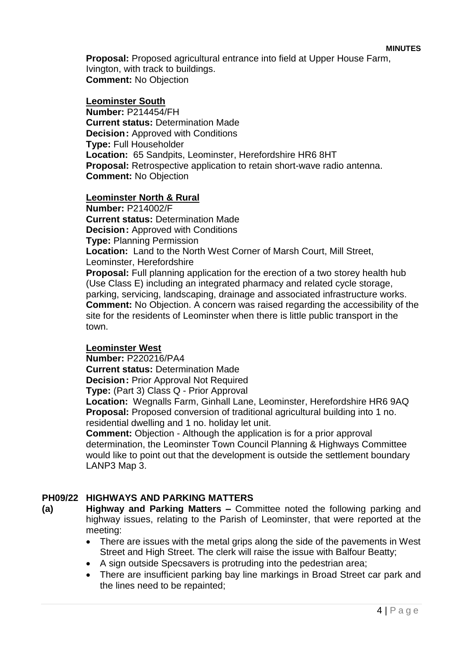**Proposal:** Proposed agricultural entrance into field at Upper House Farm, Ivington, with track to buildings. **Comment:** No Objection

#### **Leominster South**

**Number:** P214454/FH **Current status:** Determination Made **Decision: Approved with Conditions Type:** Full Householder **Location:** 65 Sandpits, Leominster, Herefordshire HR6 8HT **Proposal:** Retrospective application to retain short-wave radio antenna. **Comment:** No Objection

#### **Leominster North & Rural**

**Number:** P214002/F **Current status:** Determination Made **Decision: Approved with Conditions Type:** Planning Permission **Location:** Land to the North West Corner of Marsh Court, Mill Street, Leominster, Herefordshire **Proposal:** Full planning application for the erection of a two storey health hub (Use Class E) including an integrated pharmacy and related cycle storage, parking, servicing, landscaping, drainage and associated infrastructure works. **Comment:** No Objection. A concern was raised regarding the accessibility of the site for the residents of Leominster when there is little public transport in the

#### **Leominster West**

town.

**Number:** P220216/PA4

**Current status:** Determination Made

**Decision:** Prior Approval Not Required

**Type:** (Part 3) Class Q - Prior Approval

**Location:** Wegnalls Farm, Ginhall Lane, Leominster, Herefordshire HR6 9AQ **Proposal:** Proposed conversion of traditional agricultural building into 1 no. residential dwelling and 1 no. holiday let unit.

**Comment:** Objection - Although the application is for a prior approval determination, the Leominster Town Council Planning & Highways Committee would like to point out that the development is outside the settlement boundary LANP3 Map 3.

## **PH09/22 HIGHWAYS AND PARKING MATTERS**

**(a) Highway and Parking Matters –** Committee noted the following parking and highway issues, relating to the Parish of Leominster, that were reported at the meeting:

- There are issues with the metal grips along the side of the pavements in West Street and High Street. The clerk will raise the issue with Balfour Beatty;
- A sign outside Specsavers is protruding into the pedestrian area;
- There are insufficient parking bay line markings in Broad Street car park and the lines need to be repainted;